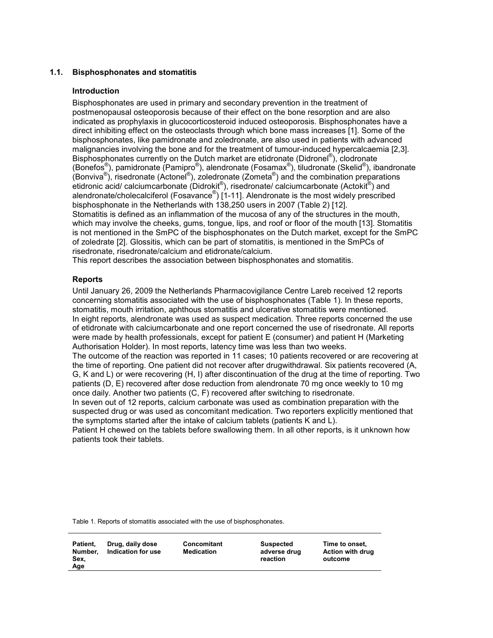# 1.1. Bisphosphonates and stomatitis

### Introduction

Bisphosphonates are used in primary and secondary prevention in the treatment of postmenopausal osteoporosis because of their effect on the bone resorption and are also indicated as prophylaxis in glucocorticosteroid induced osteoporosis. Bisphosphonates have a direct inhibiting effect on the osteoclasts through which bone mass increases [1]. Some of the bisphosphonates, like pamidronate and zoledronate, are also used in patients with advanced malignancies involving the bone and for the treatment of tumour-induced hypercalcaemia [2,3]. Bisphosphonates currently on the Dutch market are etidronate (Didronel®), clodronate (Bonefos®), pamidronate (Pamipro®), alendronate (Fosamax®), tiludronate (Skelid®), ibandronate (Bonviva<sup>®</sup>), risedronate (Actonel<sup>®</sup>), zoledronate (Zometa<sup>®</sup>) and the combination preparations etidronic acid/ calciumcarbonate (Didrokit®), risedronate/ calciumcarbonate (Actokit®) and alendronate/cholecalciferol (Fosavance®) [1-11]. Alendronate is the most widely prescribed bisphosphonate in the Netherlands with 138,250 users in 2007 (Table 2) [12]. Stomatitis is defined as an inflammation of the mucosa of any of the structures in the mouth, which may involve the cheeks, gums, tongue, lips, and roof or floor of the mouth [13]. Stomatitis is not mentioned in the SmPC of the bisphosphonates on the Dutch market, except for the SmPC of zoledrate [2]. Glossitis, which can be part of stomatitis, is mentioned in the SmPCs of risedronate, risedronate/calcium and etidronate/calcium.

This report describes the association between bisphosphonates and stomatitis.

## Reports

Until January 26, 2009 the Netherlands Pharmacovigilance Centre Lareb received 12 reports concerning stomatitis associated with the use of bisphosphonates (Table 1). In these reports, stomatitis, mouth irritation, aphthous stomatitis and ulcerative stomatitis were mentioned. In eight reports, alendronate was used as suspect medication. Three reports concerned the use of etidronate with calciumcarbonate and one report concerned the use of risedronate. All reports were made by health professionals, except for patient E (consumer) and patient H (Marketing Authorisation Holder). In most reports, latency time was less than two weeks.

The outcome of the reaction was reported in 11 cases; 10 patients recovered or are recovering at the time of reporting. One patient did not recover after drugwithdrawal. Six patients recovered (A, G, K and L) or were recovering (H, I) after discontinuation of the drug at the time of reporting. Two patients (D, E) recovered after dose reduction from alendronate 70 mg once weekly to 10 mg once daily. Another two patients (C, F) recovered after switching to risedronate.

In seven out of 12 reports, calcium carbonate was used as combination preparation with the suspected drug or was used as concomitant medication. Two reporters explicitly mentioned that the symptoms started after the intake of calcium tablets (patients K and L).

Patient H chewed on the tablets before swallowing them. In all other reports, is it unknown how patients took their tablets.

Table 1. Reports of stomatitis associated with the use of bisphosphonates.

| Patient,<br>Number.<br>Sex,<br>Age | Drug, daily dose<br>Indication for use | Concomitant<br>Medication | Suspected<br>adverse drug<br>reaction | Time to onset.<br><b>Action with drug</b><br>outcome |
|------------------------------------|----------------------------------------|---------------------------|---------------------------------------|------------------------------------------------------|
|------------------------------------|----------------------------------------|---------------------------|---------------------------------------|------------------------------------------------------|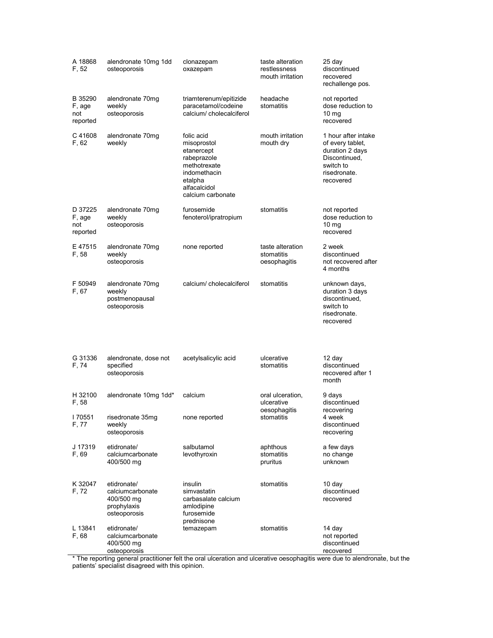| A 18868<br>F. 52                     | alendronate 10mg 1dd<br>osteoporosis                                         | clonazepam<br>oxazepam                                                                                                                 | taste alteration<br>restlessness<br>mouth irritation | 25 day<br>discontinued<br>recovered<br>rechallenge pos.                                                               |
|--------------------------------------|------------------------------------------------------------------------------|----------------------------------------------------------------------------------------------------------------------------------------|------------------------------------------------------|-----------------------------------------------------------------------------------------------------------------------|
| B 35290<br>F, age<br>not<br>reported | alendronate 70mg<br>weekly<br>osteoporosis                                   | triamterenum/epitizide<br>paracetamol/codeine<br>calcium/cholecalciferol                                                               | headache<br>stomatitis                               | not reported<br>dose reduction to<br>10 <sub>mg</sub><br>recovered                                                    |
| C 41608<br>F, 62                     | alendronate 70mg<br>weekly                                                   | folic acid<br>misoprostol<br>etanercept<br>rabeprazole<br>methotrexate<br>indomethacin<br>etalpha<br>alfacalcidol<br>calcium carbonate | mouth irritation<br>mouth dry                        | 1 hour after intake<br>of every tablet,<br>duration 2 days<br>Discontinued,<br>switch to<br>risedronate.<br>recovered |
| D 37225<br>F, age<br>not<br>reported | alendronate 70mg<br>weekly<br>osteoporosis                                   | furosemide<br>fenoterol/ipratropium                                                                                                    | stomatitis                                           | not reported<br>dose reduction to<br>10 <sub>mg</sub><br>recovered                                                    |
| E 47515<br>F, 58                     | alendronate 70mg<br>weekly<br>osteoporosis                                   | none reported                                                                                                                          | taste alteration<br>stomatitis<br>oesophagitis       | 2 week<br>discontinued<br>not recovered after<br>4 months                                                             |
| F 50949<br>F, 67                     | alendronate 70mg<br>weekly<br>postmenopausal<br>osteoporosis                 | calcium/cholecalciferol                                                                                                                | stomatitis                                           | unknown days,<br>duration 3 days<br>discontinued,<br>switch to<br>risedronate.<br>recovered                           |
| G 31336<br>F, 74                     | alendronate, dose not<br>specified<br>osteoporosis                           | acetylsalicylic acid                                                                                                                   | ulcerative<br>stomatitis                             | 12 day<br>discontinued<br>recovered after 1<br>month                                                                  |
| H 32100<br>F, 58                     | alendronate 10mg 1dd*                                                        | calcium                                                                                                                                | oral ulceration,<br>ulcerative                       | 9 days<br>discontinued<br>recovering<br>4 week<br>discontinued<br>recovering                                          |
| I 70551<br>F, 77                     | risedronate 35mg<br>weekly<br>osteoporosis                                   | none reported                                                                                                                          | oesophagitis<br>stomatitis                           |                                                                                                                       |
| J 17319<br>F, 69                     | etidronate/<br>calciumcarbonate<br>400/500 mg                                | salbutamol<br>levothyroxin                                                                                                             | aphthous<br>stomatitis<br>pruritus                   | a few days<br>no change<br>unknown                                                                                    |
| K 32047<br>F, 72                     | etidronate/<br>calciumcarbonate<br>400/500 mg<br>prophylaxis<br>osteoporosis | insulin<br>simvastatin<br>carbasalate calcium<br>amlodipine<br>furosemide<br>prednisone                                                | stomatitis                                           | 10 day<br>discontinued<br>recovered                                                                                   |
| L 13841<br>F, 68                     | etidronate/<br>calciumcarbonate<br>400/500 mg<br>osteoporosis                | temazepam                                                                                                                              | stomatitis                                           | 14 day<br>not reported<br>discontinued<br>recovered                                                                   |

\* The reporting general practitioner felt the oral ulceration and ulcerative oesophagitis were due to alendronate, but the patients' specialist disagreed with this opinion.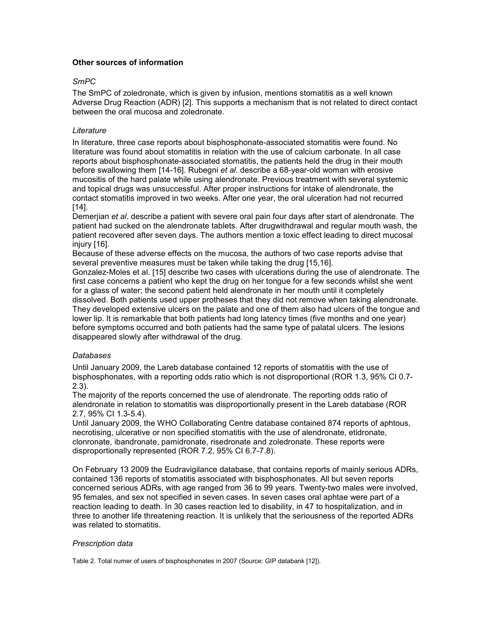# Other sources of information

# SmPC

The SmPC of zoledronate, which is given by infusion, mentions stomatitis as a well known Adverse Drug Reaction (ADR) [2]. This supports a mechanism that is not related to direct contact between the oral mucosa and zoledronate.

## **Literature**

In literature, three case reports about bisphosphonate-associated stomatitis were found. No literature was found about stomatitis in relation with the use of calcium carbonate. In all case reports about bisphosphonate-associated stomatitis, the patients held the drug in their mouth before swallowing them [14-16]. Rubegni et al. describe a 68-year-old woman with erosive mucositis of the hard palate while using alendronate. Previous treatment with several systemic and topical drugs was unsuccessful. After proper instructions for intake of alendronate, the contact stomatitis improved in two weeks. After one year, the oral ulceration had not recurred [14].

Demerjian et al. describe a patient with severe oral pain four days after start of alendronate. The patient had sucked on the alendronate tablets. After drugwithdrawal and regular mouth wash, the patient recovered after seven days. The authors mention a toxic effect leading to direct mucosal injury [16].

Because of these adverse effects on the mucosa, the authors of two case reports advise that several preventive measures must be taken while taking the drug [15,16].

Gonzalez-Moles et al. [15] describe two cases with ulcerations during the use of alendronate. The first case concerns a patient who kept the drug on her tongue for a few seconds whilst she went for a glass of water; the second patient held alendronate in her mouth until it completely dissolved. Both patients used upper protheses that they did not remove when taking alendronate. They developed extensive ulcers on the palate and one of them also had ulcers of the tongue and lower lip. It is remarkable that both patients had long latency times (five months and one year) before symptoms occurred and both patients had the same type of palatal ulcers. The lesions disappeared slowly after withdrawal of the drug.

### Databases

Until January 2009, the Lareb database contained 12 reports of stomatitis with the use of bisphosphonates, with a reporting odds ratio which is not disproportional (ROR 1.3, 95% CI 0.7- 2.3).

The majority of the reports concerned the use of alendronate. The reporting odds ratio of alendronate in relation to stomatitis was disproportionally present in the Lareb database (ROR 2.7, 95% CI 1.3-5.4).

Until January 2009, the WHO Collaborating Centre database contained 874 reports of aphtous, necrotising, ulcerative or non specified stomatitis with the use of alendronate, etidronate, clonronate, ibandronate, pamidronate, risedronate and zoledronate. These reports were disproportionally represented (ROR 7.2, 95% CI 6.7-7.8).

On February 13 2009 the Eudravigilance database, that contains reports of mainly serious ADRs, contained 136 reports of stomatitis associated with bisphosphonates. All but seven reports concerned serious ADRs, with age ranged from 36 to 99 years. Twenty-two males were involved, 95 females, and sex not specified in seven cases. In seven cases oral aphtae were part of a reaction leading to death. In 30 cases reaction led to disability, in 47 to hospitalization, and in three to another life threatening reaction. It is unlikely that the seriousness of the reported ADRs was related to stomatitis.

# Prescription data

Table 2. Total numer of users of bisphosphonates in 2007 (Source: GIP databank [12]).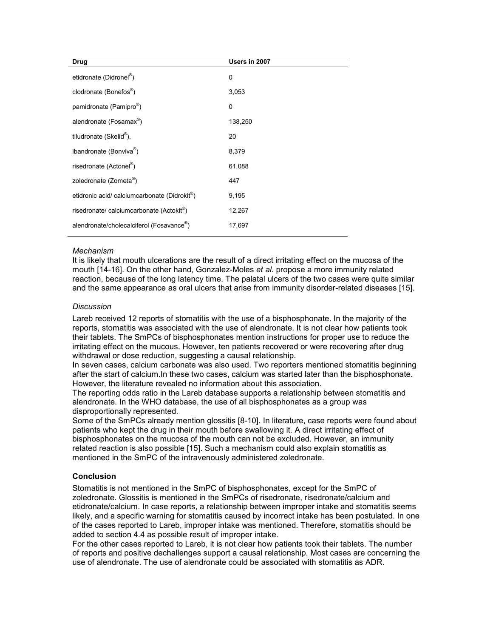| Users in 2007 |
|---------------|
| 0             |
| 3,053         |
| 0             |
| 138,250       |
| 20            |
| 8,379         |
| 61,088        |
| 447           |
| 9,195         |
| 12,267        |
| 17,697        |
|               |

### Mechanism

It is likely that mouth ulcerations are the result of a direct irritating effect on the mucosa of the mouth [14-16]. On the other hand, Gonzalez-Moles *et al.* propose a more immunity related reaction, because of the long latency time. The palatal ulcers of the two cases were quite similar and the same appearance as oral ulcers that arise from immunity disorder-related diseases [15].

### **Discussion**

Lareb received 12 reports of stomatitis with the use of a bisphosphonate. In the majority of the reports, stomatitis was associated with the use of alendronate. It is not clear how patients took their tablets. The SmPCs of bisphosphonates mention instructions for proper use to reduce the irritating effect on the mucous. However, ten patients recovered or were recovering after drug withdrawal or dose reduction, suggesting a causal relationship.

In seven cases, calcium carbonate was also used. Two reporters mentioned stomatitis beginning after the start of calcium.In these two cases, calcium was started later than the bisphosphonate. However, the literature revealed no information about this association.

The reporting odds ratio in the Lareb database supports a relationship between stomatitis and alendronate. In the WHO database, the use of all bisphosphonates as a group was disproportionally represented.

Some of the SmPCs already mention glossitis [8-10]. In literature, case reports were found about patients who kept the drug in their mouth before swallowing it. A direct irritating effect of bisphosphonates on the mucosa of the mouth can not be excluded. However, an immunity related reaction is also possible [15]. Such a mechanism could also explain stomatitis as mentioned in the SmPC of the intravenously administered zoledronate.

### **Conclusion**

Stomatitis is not mentioned in the SmPC of bisphosphonates, except for the SmPC of zoledronate. Glossitis is mentioned in the SmPCs of risedronate, risedronate/calcium and etidronate/calcium. In case reports, a relationship between improper intake and stomatitis seems likely, and a specific warning for stomatitis caused by incorrect intake has been postulated. In one of the cases reported to Lareb, improper intake was mentioned. Therefore, stomatitis should be added to section 4.4 as possible result of improper intake.

For the other cases reported to Lareb, it is not clear how patients took their tablets. The number of reports and positive dechallenges support a causal relationship. Most cases are concerning the use of alendronate. The use of alendronate could be associated with stomatitis as ADR.